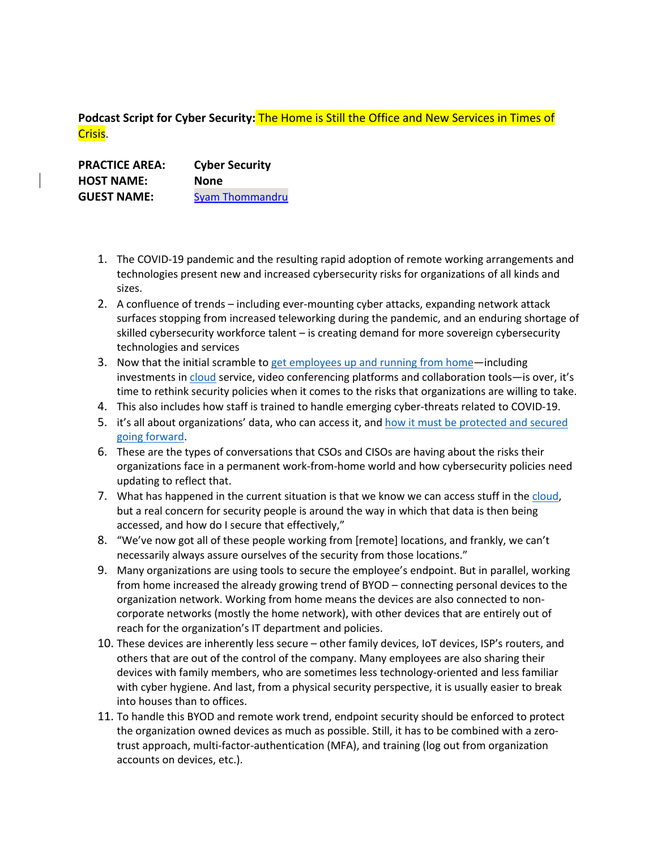**Podcast Script for Cyber Security:** The Home is Still the Office and New Services in Times of Crisis.

**PRACTICE AREA: Cyber Security HOST NAME: None GUEST NAME:** Syam Thommandru

- 1. The COVID-19 pandemic and the resulting rapid adoption of remote working arrangements and technologies present new and increased cybersecurity risks for organizations of all kinds and sizes.
- 2. A confluence of trends including ever-mounting cyber attacks, expanding network attack surfaces stopping from increased teleworking during the pandemic, and an enduring shortage of skilled cybersecurity workforce talent – is creating demand for more sovereign cybersecurity technologies and services
- 3. Now that the initial scramble to get employees up and running from home—including investments in cloud service, video conferencing platforms and collaboration tools—is over, it's time to rethink security policies when it comes to the risks that organizations are willing to take.
- 4. This also includes how staff is trained to handle emerging cyber-threats related to COVID-19.
- 5. it's all about organizations' data, who can access it, and how it must be protected and secured going forward.
- 6. These are the types of conversations that CSOs and CISOs are having about the risks their organizations face in a permanent work-from-home world and how cybersecurity policies need updating to reflect that.
- 7. What has happened in the current situation is that we know we can access stuff in the cloud, but a real concern for security people is around the way in which that data is then being accessed, and how do I secure that effectively,"
- 8. "We've now got all of these people working from [remote] locations, and frankly, we can't necessarily always assure ourselves of the security from those locations."
- 9. Many organizations are using tools to secure the employee's endpoint. But in parallel, working from home increased the already growing trend of BYOD – connecting personal devices to the organization network. Working from home means the devices are also connected to noncorporate networks (mostly the home network), with other devices that are entirely out of reach for the organization's IT department and policies.
- 10. These devices are inherently less secure other family devices, IoT devices, ISP's routers, and others that are out of the control of the company. Many employees are also sharing their devices with family members, who are sometimes less technology-oriented and less familiar with cyber hygiene. And last, from a physical security perspective, it is usually easier to break into houses than to offices.
- 11. To handle this BYOD and remote work trend, endpoint security should be enforced to protect the organization owned devices as much as possible. Still, it has to be combined with a zerotrust approach, multi-factor-authentication (MFA), and training (log out from organization accounts on devices, etc.).